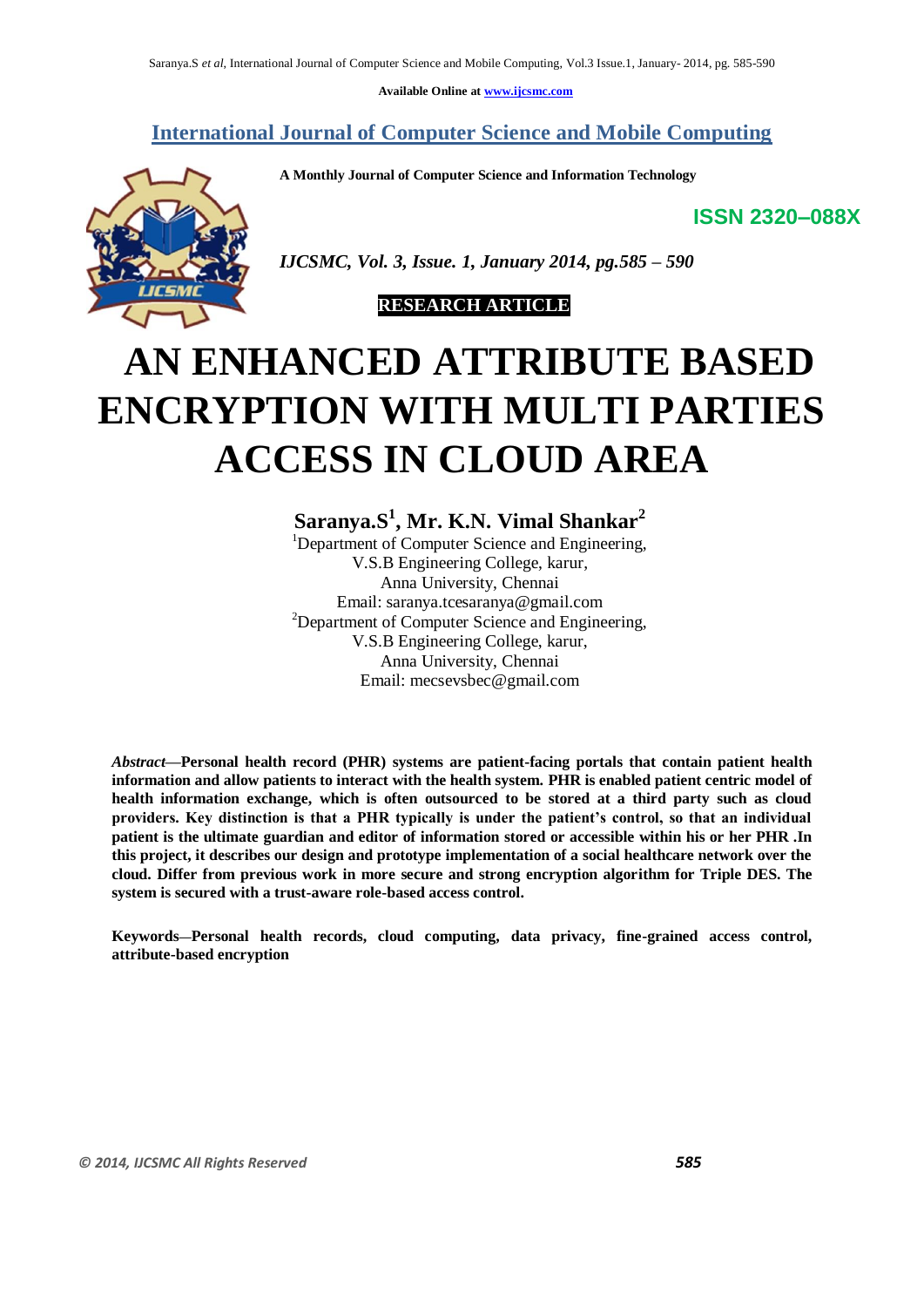**Available Online at [www.ijcsmc.com](http://www.ijcsmc.com/)**

**International Journal of Computer Science and Mobile Computing**

 **A Monthly Journal of Computer Science and Information Technology**

**ISSN 2320–088X**



 *IJCSMC, Vol. 3, Issue. 1, January 2014, pg.585 – 590*



# **AN ENHANCED ATTRIBUTE BASED ENCRYPTION WITH MULTI PARTIES ACCESS IN CLOUD AREA**

**Saranya.S<sup>1</sup> , Mr. K.N. Vimal Shankar<sup>2</sup>** <sup>1</sup>Department of Computer Science and Engineering, V.S.B Engineering College, karur, Anna University, Chennai [Email: saranya.tcesaranya@gmail.com](mailto:Email:%20saranya.tcesaranya@gmail.com) <sup>2</sup>Department of Computer Science and Engineering, V.S.B Engineering College, karur, Anna University, Chennai [Email: mecsevsbec@gmail.com](mailto:Email:%20mecsevsbec@gmail.com)

*Abstract***—Personal health record (PHR) systems are patient-facing portals that contain patient health information and allow patients to interact with the health system. PHR is enabled patient centric model of health information exchange, which is often outsourced to be stored at a third party such as cloud providers. Key distinction is that a PHR typically is under the patient's control, so that an individual patient is the ultimate guardian and editor of information stored or accessible within his or her PHR .In this project, it describes our design and prototype implementation of a social healthcare network over the cloud. Differ from previous work in more secure and strong encryption algorithm for Triple DES. The system is secured with a trust-aware role-based access control.**

**Keywords**—**Personal health records, cloud computing, data privacy, fine-grained access control, attribute-based encryption**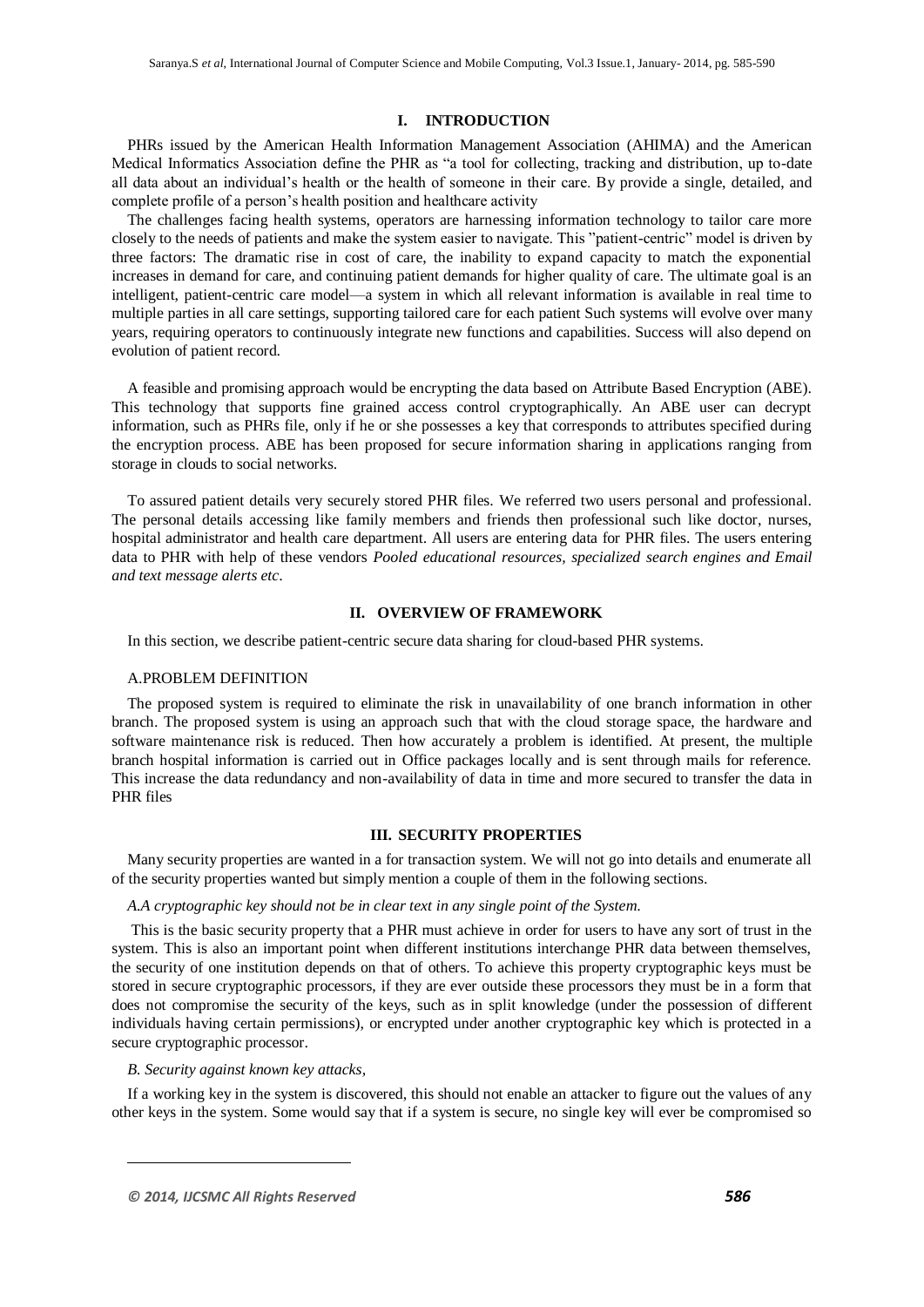## **I. INTRODUCTION**<sup>1</sup>

PHRs issued by the American Health Information Management Association (AHIMA) and the American Medical Informatics Association define the PHR as "a tool for collecting, tracking and distribution, up to-date all data about an individual's health or the health of someone in their care. By provide a single, detailed, and complete profile of a person's health position and healthcare activity

The challenges facing health systems, operators are harnessing information technology to tailor care more closely to the needs of patients and make the system easier to navigate. This "patient-centric" model is driven by three factors: The dramatic rise in cost of care, the inability to expand capacity to match the exponential increases in demand for care, and continuing patient demands for higher quality of care. The ultimate goal is an intelligent, patient-centric care model—a system in which all relevant information is available in real time to multiple parties in all care settings, supporting tailored care for each patient Such systems will evolve over many years, requiring operators to continuously integrate new functions and capabilities. Success will also depend on evolution of patient record.

A feasible and promising approach would be encrypting the data based on Attribute Based Encryption (ABE). This technology that supports fine grained access control cryptographically. An ABE user can decrypt information, such as PHRs file, only if he or she possesses a key that corresponds to attributes specified during the encryption process. ABE has been proposed for secure information sharing in applications ranging from storage in clouds to social networks.

To assured patient details very securely stored PHR files. We referred two users personal and professional. The personal details accessing like family members and friends then professional such like doctor, nurses, hospital administrator and health care department. All users are entering data for PHR files. The users entering data to PHR with help of these vendors *Pooled educational resources, specialized search engines and Email and text message alerts etc*.

## **II. OVERVIEW OF FRAMEWORK**

In this section, we describe patient-centric secure data sharing for cloud-based PHR systems.

## A.PROBLEM DEFINITION

The proposed system is required to eliminate the risk in unavailability of one branch information in other branch. The proposed system is using an approach such that with the cloud storage space, the hardware and software maintenance risk is reduced. Then how accurately a problem is identified. At present, the multiple branch hospital information is carried out in Office packages locally and is sent through mails for reference. This increase the data redundancy and non-availability of data in time and more secured to transfer the data in PHR files

#### **III. SECURITY PROPERTIES**

Many security properties are wanted in a for transaction system. We will not go into details and enumerate all of the security properties wanted but simply mention a couple of them in the following sections.

#### *A.A cryptographic key should not be in clear text in any single point of the System*.

This is the basic security property that a PHR must achieve in order for users to have any sort of trust in the system. This is also an important point when different institutions interchange PHR data between themselves, the security of one institution depends on that of others. To achieve this property cryptographic keys must be stored in secure cryptographic processors, if they are ever outside these processors they must be in a form that does not compromise the security of the keys, such as in split knowledge (under the possession of different individuals having certain permissions), or encrypted under another cryptographic key which is protected in a secure cryptographic processor.

#### *B. Security against known key attacks,*

If a working key in the system is discovered, this should not enable an attacker to figure out the values of any other keys in the system. Some would say that if a system is secure, no single key will ever be compromised so

-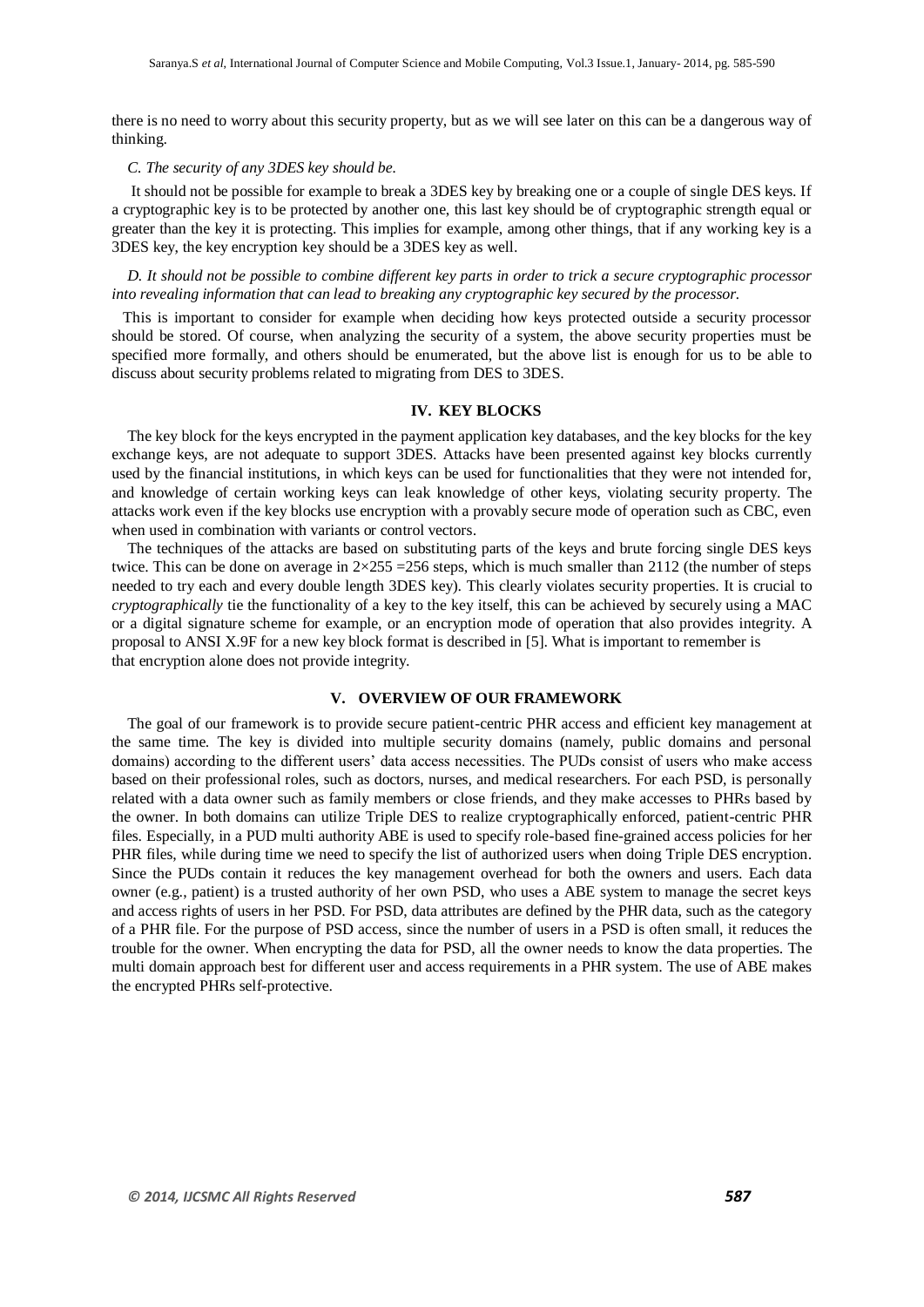there is no need to worry about this security property, but as we will see later on this can be a dangerous way of thinking.

#### *C. The security of any 3DES key should be.*

It should not be possible for example to break a 3DES key by breaking one or a couple of single DES keys. If a cryptographic key is to be protected by another one, this last key should be of cryptographic strength equal or greater than the key it is protecting. This implies for example, among other things, that if any working key is a 3DES key, the key encryption key should be a 3DES key as well.

## *D. It should not be possible to combine different key parts in order to trick a secure cryptographic processor into revealing information that can lead to breaking any cryptographic key secured by the processor.*

This is important to consider for example when deciding how keys protected outside a security processor should be stored. Of course, when analyzing the security of a system, the above security properties must be specified more formally, and others should be enumerated, but the above list is enough for us to be able to discuss about security problems related to migrating from DES to 3DES.

## **IV. KEY BLOCKS**

The key block for the keys encrypted in the payment application key databases, and the key blocks for the key exchange keys, are not adequate to support 3DES. Attacks have been presented against key blocks currently used by the financial institutions, in which keys can be used for functionalities that they were not intended for, and knowledge of certain working keys can leak knowledge of other keys, violating security property. The attacks work even if the key blocks use encryption with a provably secure mode of operation such as CBC, even when used in combination with variants or control vectors.

The techniques of the attacks are based on substituting parts of the keys and brute forcing single DES keys twice. This can be done on average in  $2\times255 = 256$  steps, which is much smaller than 2112 (the number of steps needed to try each and every double length 3DES key). This clearly violates security properties. It is crucial to *cryptographically* tie the functionality of a key to the key itself, this can be achieved by securely using a MAC or a digital signature scheme for example, or an encryption mode of operation that also provides integrity. A proposal to ANSI X.9F for a new key block format is described in [5]. What is important to remember is that encryption alone does not provide integrity.

## **V. OVERVIEW OF OUR FRAMEWORK**

The goal of our framework is to provide secure patient-centric PHR access and efficient key management at the same time. The key is divided into multiple security domains (namely, public domains and personal domains) according to the different users' data access necessities. The PUDs consist of users who make access based on their professional roles, such as doctors, nurses, and medical researchers. For each PSD, is personally related with a data owner such as family members or close friends, and they make accesses to PHRs based by the owner. In both domains can utilize Triple DES to realize cryptographically enforced, patient-centric PHR files. Especially, in a PUD multi authority ABE is used to specify role-based fine-grained access policies for her PHR files, while during time we need to specify the list of authorized users when doing Triple DES encryption. Since the PUDs contain it reduces the key management overhead for both the owners and users. Each data owner (e.g., patient) is a trusted authority of her own PSD, who uses a ABE system to manage the secret keys and access rights of users in her PSD. For PSD, data attributes are defined by the PHR data, such as the category of a PHR file. For the purpose of PSD access, since the number of users in a PSD is often small, it reduces the trouble for the owner. When encrypting the data for PSD, all the owner needs to know the data properties. The multi domain approach best for different user and access requirements in a PHR system. The use of ABE makes the encrypted PHRs self-protective.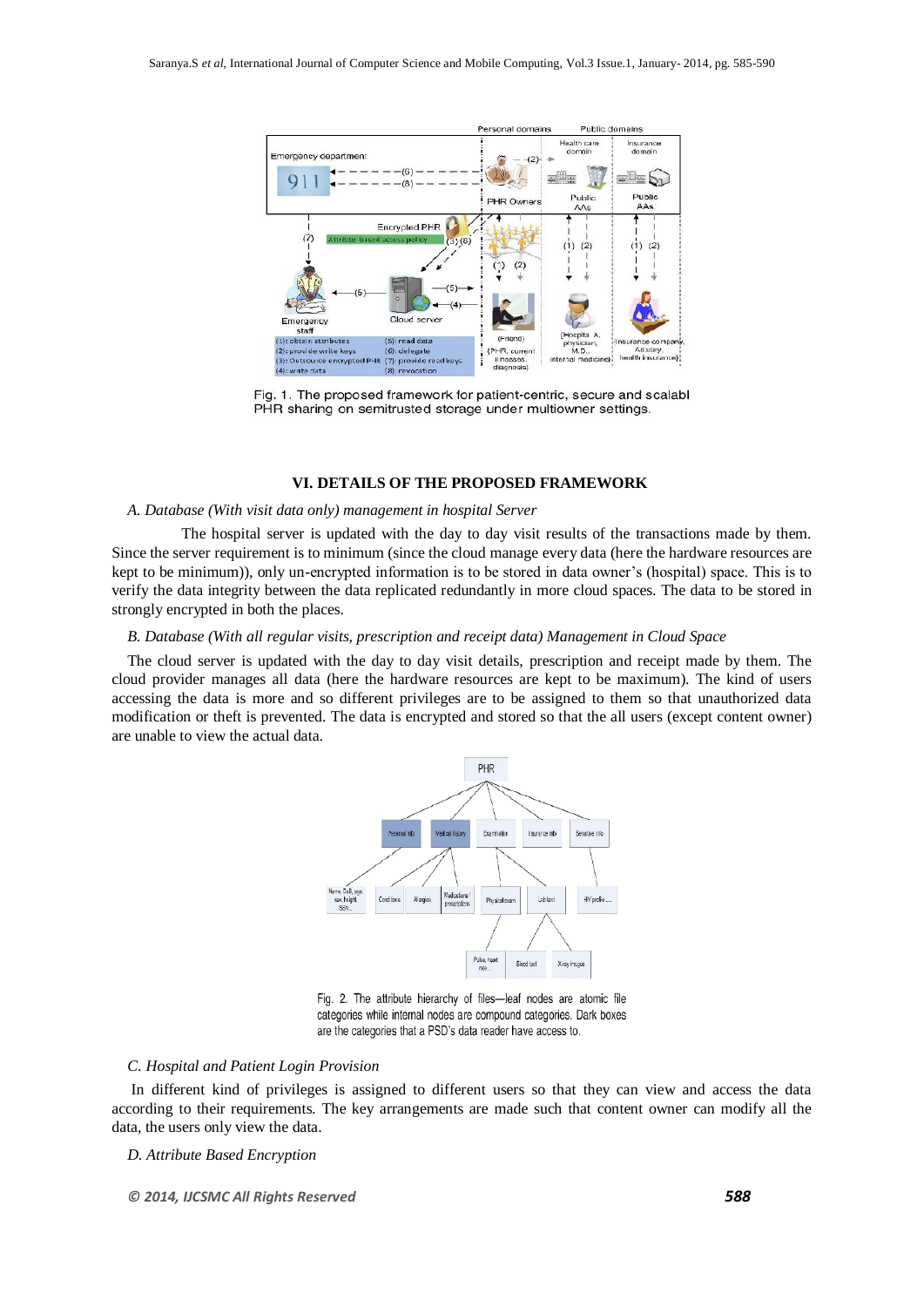

Fig. 1. The proposed framework for patient-centric, secure and scalabl PHR sharing on semitrusted storage under multiowner settings.

## **VI. DETAILS OF THE PROPOSED FRAMEWORK**

## *A. Database (With visit data only) management in hospital Server*

The hospital server is updated with the day to day visit results of the transactions made by them. Since the server requirement is to minimum (since the cloud manage every data (here the hardware resources are kept to be minimum)), only un-encrypted information is to be stored in data owner's (hospital) space. This is to verify the data integrity between the data replicated redundantly in more cloud spaces. The data to be stored in strongly encrypted in both the places.

#### *B. Database (With all regular visits, prescription and receipt data) Management in Cloud Space*

The cloud server is updated with the day to day visit details, prescription and receipt made by them. The cloud provider manages all data (here the hardware resources are kept to be maximum). The kind of users accessing the data is more and so different privileges are to be assigned to them so that unauthorized data modification or theft is prevented. The data is encrypted and stored so that the all users (except content owner) are unable to view the actual data.



Fig. 2. The attribute hierarchy of files-leaf nodes are atomic file categories while internal nodes are compound categories. Dark boxes are the categories that a PSD's data reader have access to.

## *C. Hospital and Patient Login Provision*

In different kind of privileges is assigned to different users so that they can view and access the data according to their requirements. The key arrangements are made such that content owner can modify all the data, the users only view the data.

## *D. Attribute Based Encryption*

*© 2014, IJCSMC All Rights Reserved 588*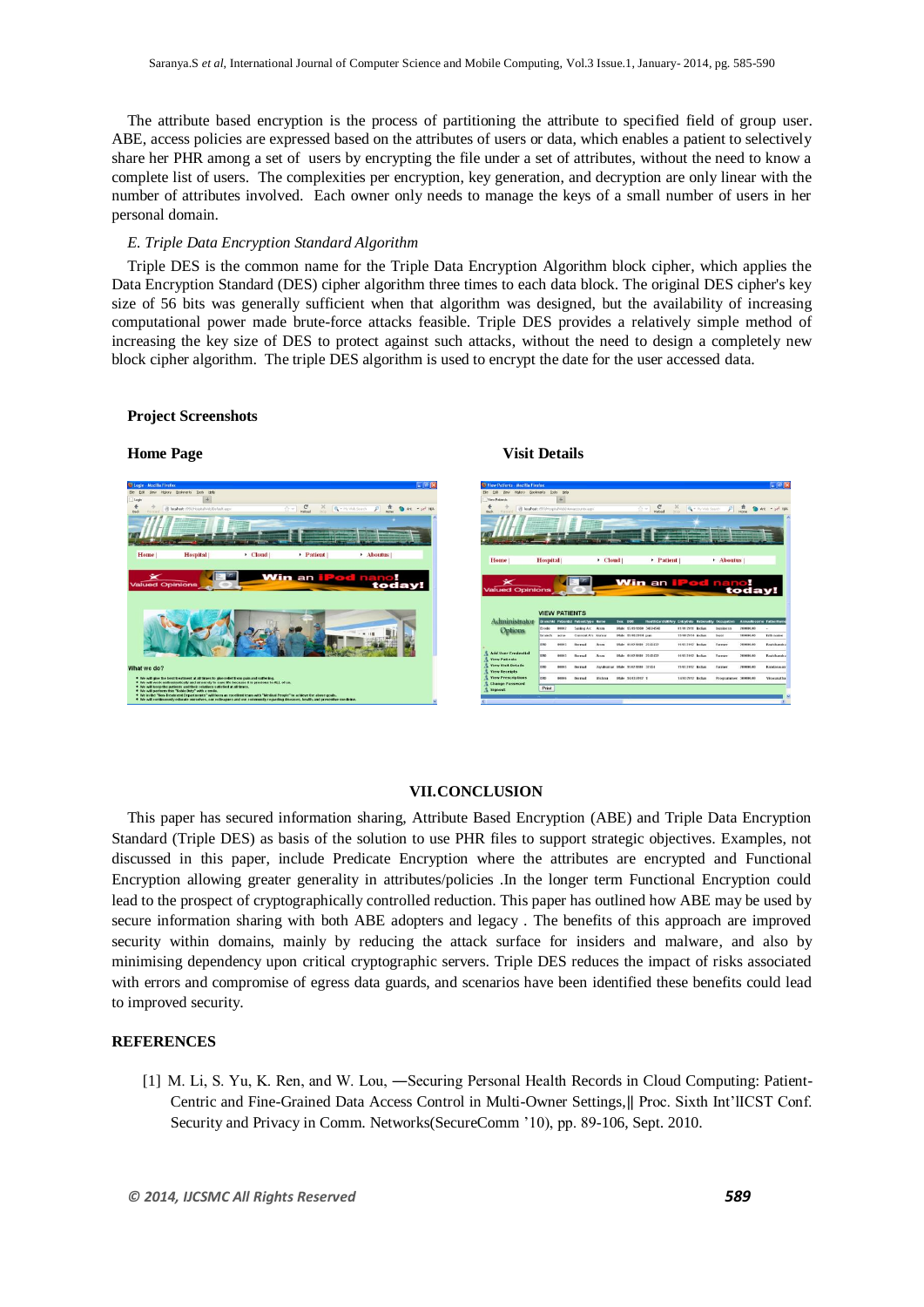The attribute based encryption is the process of partitioning the attribute to specified field of group user. ABE, access policies are expressed based on the attributes of users or data, which enables a patient to selectively share her PHR among a set of users by encrypting the file under a set of attributes, without the need to know a complete list of users. The complexities per encryption, key generation, and decryption are only linear with the number of attributes involved. Each owner only needs to manage the keys of a small number of users in her personal domain.

#### *E. Triple Data Encryption Standard Algorithm*

Triple DES is the common name for the Triple Data Encryption Algorithm block cipher, which applies the Data Encryption Standard (DES) cipher algorithm three times to each data block. The original DES cipher's key size of 56 bits was generally sufficient when that algorithm was designed, but the availability of increasing computational power made brute-force attacks feasible. Triple DES provides a relatively simple method of increasing the key size of DES to protect against such attacks, without the need to design a completely new block cipher algorithm. The triple DES algorithm is used to encrypt the date for the user accessed data.

## **Project Screenshots**

## **Home Page Visit Details**





## **VII.CONCLUSION**

This paper has secured information sharing, Attribute Based Encryption (ABE) and Triple Data Encryption Standard (Triple DES) as basis of the solution to use PHR files to support strategic objectives. Examples, not discussed in this paper, include Predicate Encryption where the attributes are encrypted and Functional Encryption allowing greater generality in attributes/policies .In the longer term Functional Encryption could lead to the prospect of cryptographically controlled reduction. This paper has outlined how ABE may be used by secure information sharing with both ABE adopters and legacy . The benefits of this approach are improved security within domains, mainly by reducing the attack surface for insiders and malware, and also by minimising dependency upon critical cryptographic servers. Triple DES reduces the impact of risks associated with errors and compromise of egress data guards, and scenarios have been identified these benefits could lead to improved security.

## **REFERENCES**

[1] M. Li, S. Yu, K. Ren, and W. Lou, —Securing Personal Health Records in Cloud Computing: Patient-Centric and Fine-Grained Data Access Control in Multi-Owner Settings,‖ Proc. Sixth Int'lICST Conf. Security and Privacy in Comm. Networks(SecureComm '10), pp. 89-106, Sept. 2010.